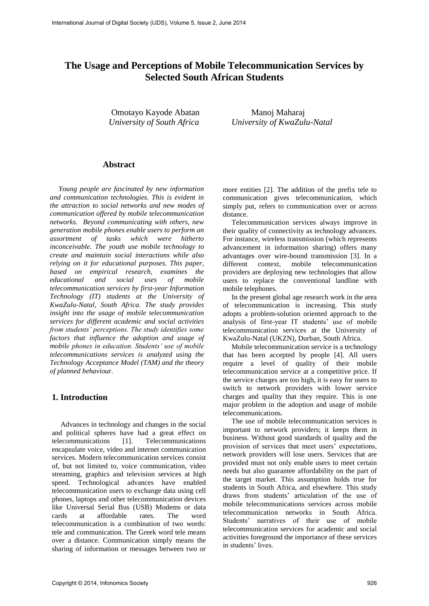# **The Usage and Perceptions of Mobile Telecommunication Services by Selected South African Students**

Omotayo Kayode Abatan Manoj Maharaj

*University of South Africa University of KwaZulu-Natal* 

## **Abstract**

*Young people are fascinated by new information and communication technologies. This is evident in the attraction to social networks and new modes of communication offered by mobile telecommunication networks. Beyond communicating with others, new generation mobile phones enable users to perform an assortment of tasks which were hitherto inconceivable. The youth use mobile technology to create and maintain social interactions while also relying on it for educational purposes. This paper, based on empirical research, examines the educational and social uses of mobile telecommunication services by first-year Information Technology (IT) students at the University of KwaZulu-Natal, South Africa. The study provides insight into the usage of mobile telecommunication services for different academic and social activities from students' perceptions. The study identifies some factors that influence the adoption and usage of mobile phones in education. Students' use of mobile telecommunications services is analyzed using the Technology Acceptance Model (TAM) and the theory of planned behaviour.*

## **1. Introduction**

Advances in technology and changes in the social and political spheres have had a great effect on telecommunications [1]. Telecommunications encapsulate voice, video and internet communication services. Modern telecommunication services consist of, but not limited to, voice communication, video streaming, graphics and television services at high speed. Technological advances have enabled telecommunication users to exchange data using cell phones, laptops and other telecommunication devices like Universal Serial Bus (USB) Modems or data cards at affordable rates. The word telecommunication is a combination of two words: tele and communication. The Greek word tele means over a distance. Communication simply means the sharing of information or messages between two or

more entities [2]. The addition of the prefix tele to communication gives telecommunication, which simply put, refers to communication over or across distance.

Telecommunication services always improve in their quality of connectivity as technology advances. For instance, wireless transmission (which represents advancement in information sharing) offers many advantages over wire-bound transmission [3]. In a different context, mobile telecommunication providers are deploying new technologies that allow users to replace the conventional landline with mobile telephones.

In the present global age research work in the area of telecommunication is increasing. This study adopts a problem-solution oriented approach to the analysis of first-year IT students' use of mobile telecommunication services at the University of KwaZulu-Natal (UKZN), Durban, South Africa.

Mobile telecommunication service is a technology that has been accepted by people [4]. All users require a level of quality of their mobile telecommunication service at a competitive price. If the service charges are too high, it is easy for users to switch to network providers with lower service charges and quality that they require. This is one major problem in the adoption and usage of mobile telecommunications.

The use of mobile telecommunication services is important to network providers; it keeps them in business. Without good standards of quality and the provision of services that meet users' expectations, network providers will lose users. Services that are provided must not only enable users to meet certain needs but also guarantee affordability on the part of the target market. This assumption holds true for students in South Africa, and elsewhere. This study draws from students' articulation of the use of mobile telecommunications services across mobile telecommunication networks in South Africa. Students' narratives of their use of mobile telecommunication services for academic and social activities foreground the importance of these services in students' lives.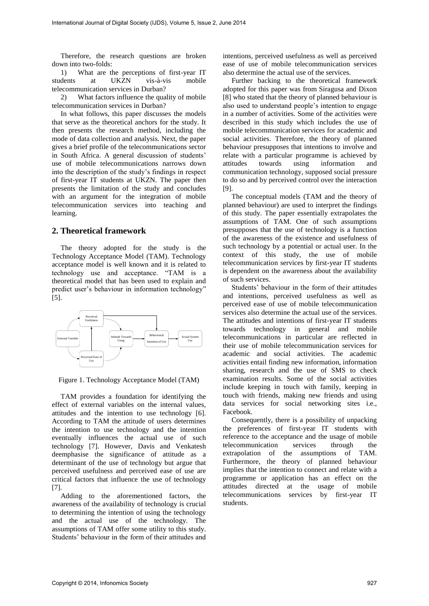Therefore, the research questions are broken down into two-folds:

1) What are the perceptions of first-year IT students at UKZN vis-à-vis mobile telecommunication services in Durban?

2) What factors influence the quality of mobile telecommunication services in Durban?

In what follows, this paper discusses the models that serve as the theoretical anchors for the study. It then presents the research method, including the mode of data collection and analysis. Next, the paper gives a brief profile of the telecommunications sector in South Africa. A general discussion of students' use of mobile telecommunications narrows down into the description of the study's findings in respect of first-year IT students at UKZN. The paper then presents the limitation of the study and concludes with an argument for the integration of mobile telecommunication services into teaching and learning.

#### **2. Theoretical framework**

The theory adopted for the study is the Technology Acceptance Model (TAM). Technology acceptance model is well known and it is related to technology use and acceptance. "TAM is a theoretical model that has been used to explain and predict user's behaviour in information technology" [5].



Figure 1. Technology Acceptance Model (TAM)

TAM provides a foundation for identifying the effect of external variables on the internal values, attitudes and the intention to use technology [6]. According to TAM the attitude of users determines the intention to use technology and the intention eventually influences the actual use of such technology [7]. However, Davis and Venkatesh deemphasise the significance of attitude as a determinant of the use of technology but argue that perceived usefulness and perceived ease of use are critical factors that influence the use of technology [7].

Adding to the aforementioned factors, the awareness of the availability of technology is crucial to determining the intention of using the technology and the actual use of the technology. The assumptions of TAM offer some utility to this study. Students' behaviour in the form of their attitudes and

intentions, perceived usefulness as well as perceived ease of use of mobile telecommunication services also determine the actual use of the services.

Further backing to the theoretical framework adopted for this paper was from Siragusa and Dixon [8] who stated that the theory of planned behaviour is also used to understand people's intention to engage in a number of activities. Some of the activities were described in this study which includes the use of mobile telecommunication services for academic and social activities. Therefore, the theory of planned behaviour presupposes that intentions to involve and relate with a particular programme is achieved by attitudes towards using information and communication technology, supposed social pressure to do so and by perceived control over the interaction [9].

The conceptual models (TAM and the theory of planned behaviour) are used to interpret the findings of this study. The paper essentially extrapolates the assumptions of TAM. One of such assumptions presupposes that the use of technology is a function of the awareness of the existence and usefulness of such technology by a potential or actual user. In the context of this study, the use of mobile telecommunication services by first-year IT students is dependent on the awareness about the availability of such services.

Students' behaviour in the form of their attitudes and intentions, perceived usefulness as well as perceived ease of use of mobile telecommunication services also determine the actual use of the services. The attitudes and intentions of first-year IT students towards technology in general and mobile telecommunications in particular are reflected in their use of mobile telecommunication services for academic and social activities. The academic activities entail finding new information, information sharing, research and the use of SMS to check examination results. Some of the social activities include keeping in touch with family, keeping in touch with friends, making new friends and using data services for social networking sites i.e., Facebook.

Consequently, there is a possibility of unpacking the preferences of first-year IT students with reference to the acceptance and the usage of mobile telecommunication services through the extrapolation of the assumptions of TAM. Furthermore, the theory of planned behaviour implies that the intention to connect and relate with a programme or application has an effect on the attitudes directed at the usage of mobile telecommunications services by first-year IT students.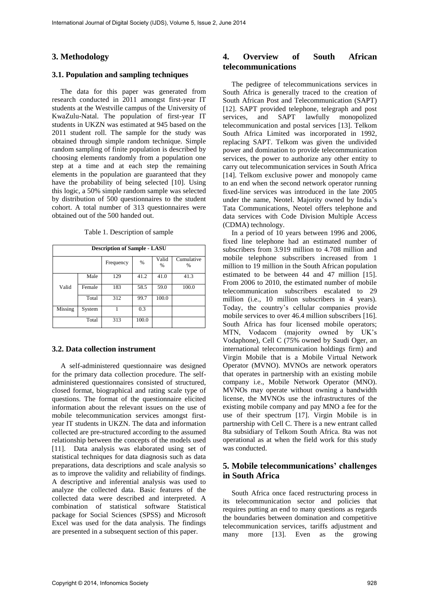# **3. Methodology**

#### **3.1. Population and sampling techniques**

The data for this paper was generated from research conducted in 2011 amongst first-year IT students at the Westville campus of the University of KwaZulu-Natal. The population of first-year IT students in UKZN was estimated at 945 based on the 2011 student roll. The sample for the study was obtained through simple random technique. Simple random sampling of finite population is described by choosing elements randomly from a population one step at a time and at each step the remaining elements in the population are guaranteed that they have the probability of being selected [10]. Using this logic, a 50% simple random sample was selected by distribution of 500 questionnaires to the student cohort. A total number of 313 questionnaires were obtained out of the 500 handed out.

| <b>Description of Sample - LASU</b> |        |           |       |            |                 |  |  |  |  |
|-------------------------------------|--------|-----------|-------|------------|-----------------|--|--|--|--|
|                                     |        | Frequency | %     | Valid<br>% | Cumulative<br>% |  |  |  |  |
|                                     | Male   | 129       | 41.2  | 41.0       | 41.3            |  |  |  |  |
| Valid                               | Female | 183       | 58.5  | 59.0       | 100.0           |  |  |  |  |
|                                     | Total  | 312       | 99.7  | 100.0      |                 |  |  |  |  |
| Missing                             | System |           | 0.3   |            |                 |  |  |  |  |
| Total                               |        | 313       | 100.0 |            |                 |  |  |  |  |

Table 1. Description of sample

#### **3.2. Data collection instrument**

A self-administered questionnaire was designed for the primary data collection procedure. The selfadministered questionnaires consisted of structured, closed format, biographical and rating scale type of questions. The format of the questionnaire elicited information about the relevant issues on the use of mobile telecommunication services amongst firstyear IT students in UKZN. The data and information collected are pre-structured according to the assumed relationship between the concepts of the models used [11]. Data analysis was elaborated using set of statistical techniques for data diagnosis such as data preparations, data descriptions and scale analysis so as to improve the validity and reliability of findings. A descriptive and inferential analysis was used to analyze the collected data. Basic features of the collected data were described and interpreted. A combination of statistical software Statistical package for Social Sciences (SPSS) and Microsoft Excel was used for the data analysis. The findings are presented in a subsequent section of this paper.

# **4. Overview of South African telecommunications**

The pedigree of telecommunications services in South Africa is generally traced to the creation of South African Post and Telecommunication (SAPT) [12]. SAPT provided telephone, telegraph and post services, and SAPT lawfully monopolized telecommunication and postal services [13]. Telkom South Africa Limited was incorporated in 1992, replacing SAPT. Telkom was given the undivided power and domination to provide telecommunication services, the power to authorize any other entity to carry out telecommunication services in South Africa [14]. Telkom exclusive power and monopoly came to an end when the second network operator running fixed-line services was introduced in the late 2005 under the name, Neotel. Majority owned by India's Tata Communications, Neotel offers telephone and data services with Code Division Multiple Access (CDMA) technology.

In a period of 10 years between 1996 and 2006, fixed line telephone had an estimated number of subscribers from 3.919 million to 4.708 million and mobile telephone subscribers increased from 1 million to 19 million in the South African population estimated to be between 44 and 47 million [15]. From 2006 to 2010, the estimated number of mobile telecommunication subscribers escalated to 29 million (i.e., 10 million subscribers in 4 years). Today, the country's cellular companies provide mobile services to over 46.4 million subscribers [16]. South Africa has four licensed mobile operators; MTN, Vodacom (majority owned by UK's Vodaphone), Cell C (75% owned by Saudi Oger, an international telecommunication holdings firm) and Virgin Mobile that is a Mobile Virtual Network Operator (MVNO). MVNOs are network operators that operates in partnership with an existing mobile company i.e., Mobile Network Operator (MNO). MVNOs may operate without owning a bandwidth license, the MVNOs use the infrastructures of the existing mobile company and pay MNO a fee for the use of their spectrum [17]. Virgin Mobile is in partnership with Cell C. There is a new entrant called 8ta subsidiary of Telkom South Africa. 8ta was not operational as at when the field work for this study was conducted.

## **5. Mobile telecommunications' challenges in South Africa**

South Africa once faced restructuring process in its telecommunication sector and policies that requires putting an end to many questions as regards the boundaries between domination and competitive telecommunication services, tariffs adjustment and many more [13]. Even as the growing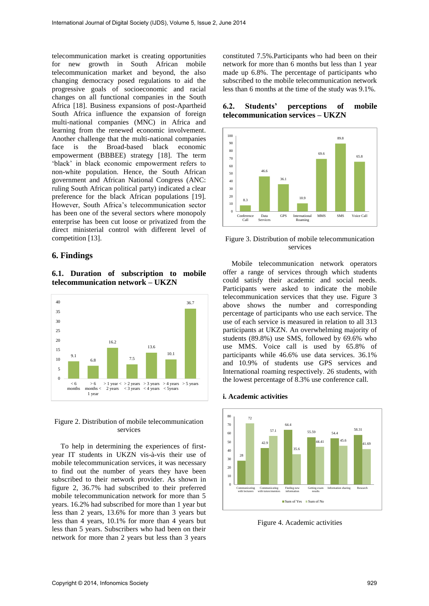telecommunication market is creating opportunities for new growth in South African mobile telecommunication market and beyond, the also changing democracy posed regulations to aid the progressive goals of socioeconomic and racial changes on all functional companies in the South Africa [18]. Business expansions of post-Apartheid South Africa influence the expansion of foreign multi-national companies (MNC) in Africa and learning from the renewed economic involvement. Another challenge that the multi-national companies face is the Broad-based black economic empowerment (BBBEE) strategy [18]. The term 'black' in black economic empowerment refers to non-white population. Hence, the South African government and African National Congress (ANC: ruling South African political party) indicated a clear preference for the black African populations [19]. However, South Africa's telecommunication sector has been one of the several sectors where monopoly enterprise has been cut loose or privatized from the direct ministerial control with different level of competition [13].

## **6. Findings**

#### **6.1. Duration of subscription to mobile telecommunication network – UKZN**



#### Figure 2. Distribution of mobile telecommunication services

To help in determining the experiences of firstyear IT students in UKZN vis-à-vis their use of mobile telecommunication services, it was necessary to find out the number of years they have been subscribed to their network provider. As shown in figure 2, 36.7% had subscribed to their preferred mobile telecommunication network for more than 5 years. 16.2% had subscribed for more than 1 year but less than 2 years, 13.6% for more than 3 years but less than 4 years, 10.1% for more than 4 years but less than 5 years. Subscribers who had been on their network for more than 2 years but less than 3 years

constituted 7.5%.Participants who had been on their network for more than 6 months but less than 1 year made up 6.8%. The percentage of participants who subscribed to the mobile telecommunication network less than 6 months at the time of the study was 9.1%.

**6.2. Students' perceptions of mobile telecommunication services – UKZN** 



Figure 3. Distribution of mobile telecommunication services

Mobile telecommunication network operators offer a range of services through which students could satisfy their academic and social needs. Participants were asked to indicate the mobile telecommunication services that they use. Figure 3 above shows the number and corresponding percentage of participants who use each service. The use of each service is measured in relation to all 313 participants at UKZN. An overwhelming majority of students (89.8%) use SMS, followed by 69.6% who use MMS. Voice call is used by 65.8% of participants while 46.6% use data services. 36.1% and 10.9% of students use GPS services and International roaming respectively. 26 students, with the lowest percentage of 8.3% use conference call.





Figure 4. Academic activities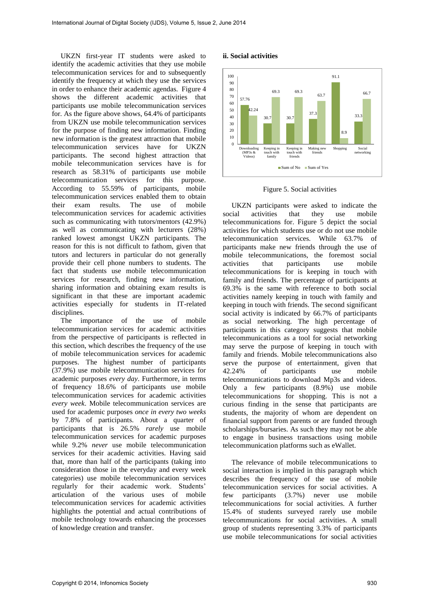UKZN first-year IT students were asked to identify the academic activities that they use mobile telecommunication services for and to subsequently identify the frequency at which they use the services in order to enhance their academic agendas. Figure 4 shows the different academic activities that participants use mobile telecommunication services for. As the figure above shows, 64.4% of participants from UKZN use mobile telecommunication services for the purpose of finding new information. Finding new information is the greatest attraction that mobile telecommunication services have for UKZN participants. The second highest attraction that mobile telecommunication services have is for research as 58.31% of participants use mobile telecommunication services for this purpose. According to 55.59% of participants, mobile telecommunication services enabled them to obtain their exam results. The use of mobile telecommunication services for academic activities such as communicating with tutors/mentors (42.9%) as well as communicating with lecturers (28%) ranked lowest amongst UKZN participants. The reason for this is not difficult to fathom, given that tutors and lecturers in particular do not generally provide their cell phone numbers to students. The fact that students use mobile telecommunication services for research, finding new information, sharing information and obtaining exam results is significant in that these are important academic activities especially for students in IT-related disciplines.

The importance of the use of mobile telecommunication services for academic activities from the perspective of participants is reflected in this section, which describes the frequency of the use of mobile telecommunication services for academic purposes. The highest number of participants (37.9%) use mobile telecommunication services for academic purposes *every day*. Furthermore, in terms of frequency 18.6% of participants use mobile telecommunication services for academic activities *every week*. Mobile telecommunication services are used for academic purposes *once in every two weeks*  by 7.8% of participants. About a quarter of participants that is 26.5% *rarely* use mobile telecommunication services for academic purposes while 9.2% *never* use mobile telecommunication services for their academic activities. Having said that, more than half of the participants (taking into consideration those in the everyday and every week categories) use mobile telecommunication services regularly for their academic work. Students' articulation of the various uses of mobile telecommunication services for academic activities highlights the potential and actual contributions of mobile technology towards enhancing the processes of knowledge creation and transfer.

#### **ii. Social activities**



Figure 5. Social activities

UKZN participants were asked to indicate the social activities that they use mobile telecommunications for. Figure 5 depict the social activities for which students use or do not use mobile telecommunication services. While 63.7% of participants make new friends through the use of mobile telecommunications, the foremost social activities that participants use mobile telecommunications for is keeping in touch with family and friends. The percentage of participants at 69.3% is the same with reference to both social activities namely keeping in touch with family and keeping in touch with friends. The second significant social activity is indicated by 66.7% of participants as social networking. The high percentage of participants in this category suggests that mobile telecommunications as a tool for social networking may serve the purpose of keeping in touch with family and friends. Mobile telecommunications also serve the purpose of entertainment, given that 42.24% of participants use mobile telecommunications to download Mp3s and videos. Only a few participants (8.9%) use mobile telecommunications for shopping. This is not a curious finding in the sense that participants are students, the majority of whom are dependent on financial support from parents or are funded through scholarships/bursaries. As such they may not be able to engage in business transactions using mobile telecommunication platforms such as eWallet.

The relevance of mobile telecommunications to social interaction is implied in this paragraph which describes the frequency of the use of mobile telecommunication services for social activities. A few participants (3.7%) never use mobile telecommunications for social activities. A further 15.4% of students surveyed rarely use mobile telecommunications for social activities. A small group of students representing 3.3% of participants use mobile telecommunications for social activities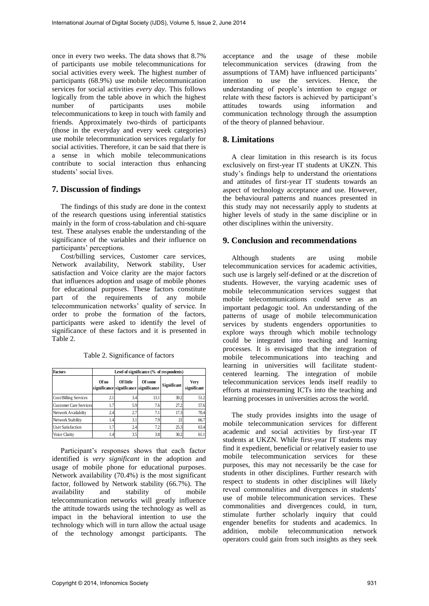once in every two weeks. The data shows that 8.7% of participants use mobile telecommunications for social activities every week. The highest number of participants (68.9%) use mobile telecommunication services for social activities *every day*. This follows logically from the table above in which the highest<br>number of participants uses mobile participants telecommunications to keep in touch with family and friends. Approximately two-thirds of participants (those in the everyday and every week categories) use mobile telecommunication services regularly for social activities. Therefore, it can be said that there is a sense in which mobile telecommunications contribute to social interaction thus enhancing students' social lives.

# **7. Discussion of findings**

The findings of this study are done in the context of the research questions using inferential statistics mainly in the form of cross-tabulation and chi-square test. These analyses enable the understanding of the significance of the variables and their influence on participants' perceptions.

Cost/billing services, Customer care services, Network availability, Network stability, User satisfaction and Voice clarity are the major factors that influences adoption and usage of mobile phones for educational purposes. These factors constitute part of the requirements of any mobile telecommunication networks' quality of service. In order to probe the formation of the factors, participants were asked to identify the level of significance of these factors and it is presented in Table 2.

| Factors                       | Level of significance (% of respondents) |                                                            |         |             |                     |  |  |  |
|-------------------------------|------------------------------------------|------------------------------------------------------------|---------|-------------|---------------------|--|--|--|
|                               | Of no                                    | <b>Of little</b><br>significance significance significance | Of some | Significant | Very<br>significant |  |  |  |
| Cost/Billing Services         | 2.1                                      | 3.4                                                        | 13.1    | 30.2        | 51.2                |  |  |  |
| <b>Customer Care Services</b> | 1.7                                      | 5.9                                                        | 7.6     | 27.2        | 57.6                |  |  |  |
| Network Availabilty           | 2.4                                      | 2.7                                                        | 7.1     | 17.3        | 70.4                |  |  |  |
| Network Stability             | 1.4                                      | 3.1                                                        | 7.9     | 21          | 66.7                |  |  |  |
| <b>User Satisfaction</b>      | 1.7                                      | 2.4                                                        | 7.2     | 25.3        | 63.4                |  |  |  |
| Voice Clarity                 | 1.4                                      | 3.5                                                        | 3.8     | 30.2        | 61.1                |  |  |  |

Table 2. Significance of factors

Participant's responses shows that each factor identified is *very significant* in the adoption and usage of mobile phone for educational purposes. Network availability (70.4%) is the most significant factor, followed by Network stability (66.7%). The availability and stability of mobile telecommunication networks will greatly influence the attitude towards using the technology as well as impact in the behavioral intention to use the technology which will in turn allow the actual usage of the technology amongst participants. The

acceptance and the usage of these mobile telecommunication services (drawing from the assumptions of TAM) have influenced participants' intention to use the services. Hence, the understanding of people's intention to engage or relate with these factors is achieved by participant's<br>attitudes towards using information and information communication technology through the assumption of the theory of planned behaviour.

# **8. Limitations**

A clear limitation in this research is its focus exclusively on first-year IT students at UKZN. This study's findings help to understand the orientations and attitudes of first-year IT students towards an aspect of technology acceptance and use. However, the behavioural patterns and nuances presented in this study may not necessarily apply to students at higher levels of study in the same discipline or in other disciplines within the university.

## **9. Conclusion and recommendations**

Although students are using mobile telecommunication services for academic activities, such use is largely self-defined or at the discretion of students. However, the varying academic uses of mobile telecommunication services suggest that mobile telecommunications could serve as an important pedagogic tool. An understanding of the patterns of usage of mobile telecommunication services by students engenders opportunities to explore ways through which mobile technology could be integrated into teaching and learning processes. It is envisaged that the integration of mobile telecommunications into teaching and learning in universities will facilitate studentcentered learning. The integration of mobile telecommunication services lends itself readily to efforts at mainstreaming ICTs into the teaching and learning processes in universities across the world.

The study provides insights into the usage of mobile telecommunication services for different academic and social activities by first-year IT students at UKZN. While first-year IT students may find it expedient, beneficial or relatively easier to use mobile telecommunication services for these purposes, this may not necessarily be the case for students in other disciplines. Further research with respect to students in other disciplines will likely reveal commonalities and divergences in students' use of mobile telecommunication services. These commonalities and divergences could, in turn, stimulate further scholarly inquiry that could engender benefits for students and academics. In addition, mobile telecommunication network operators could gain from such insights as they seek